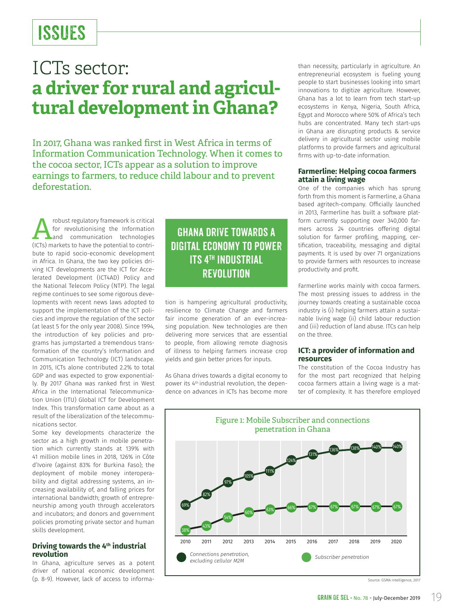## ISSUES

### ICTs sector: **a driver for rural and agricultural development in Ghana?**

In 2017, Ghana was ranked first in West Africa in terms of Information Communication Technology. When it comes to the cocoa sector, ICTs appear as a solution to improve earnings to farmers, to reduce child labour and to prevent deforestation.

Framework is critical<br>for revolutionising the Information<br>and communication technologies<br>(ICTs) markets to have the potential to contrifor revolutionising the Information (ICTs) markets to have the potential to contribute to rapid socio-economic development in Africa. In Ghana, the two key policies driving ICT developments are the ICT for Accelerated Development (ICT4AD) Policy and the National Telecom Policy (NTP). The legal regime continues to see some rigorous developments with recent news laws adopted to support the implementation of the ICT policies and improve the regulation of the sector (at least 5 for the only year 2008). Since 1994, the introduction of key policies and programs has jumpstarted a tremendous transformation of the country's Information and Communication Technology (ICT) landscape. In 2015, ICTs alone contributed 2.2% to total GDP and was expected to grow exponentially. By 2017 Ghana was ranked first in West Africa in the International Telecommunication Union (ITU) Global ICT for Development Index. This transformation came about as a result of the liberalization of the telecommunications sector.

Some key developments characterize the sector as a high growth in mobile penetration which currently stands at 139% with 41 million mobile lines in 2018, 126% in Côte d'Ivoire (against 83% for Burkina Faso); the deployment of mobile money interoperability and digital addressing systems, an increasing availability of, and falling prices for international bandwidth; growth of entrepreneurship among youth through accelerators and incubators; and donors and government policies promoting private sector and human skills development.

### **Driving towards the 4th industrial revolution**

In Ghana, agriculture serves as a potent driver of national economic development (p. 8-9). However, lack of access to informa-

### Ghana drive towards a digital economy to power **ITS 4TH INDUSTRIAL REVOLUTION**

tion is hampering agricultural productivity, resilience to Climate Change and farmers fair income generation of an ever-increasing population. New technologies are then delivering more services that are essential to people, from allowing remote diagnosis of illness to helping farmers increase crop yields and gain better prices for inputs.

As Ghana drives towards a digital economy to power its 4<sup>th</sup> industrial revolution, the dependence on advances in ICTs has become more than necessity, particularly in agriculture. An entrepreneurial ecosystem is fueling young people to start businesses looking into smart innovations to digitize agriculture. However, Ghana has a lot to learn from tech start-up ecosystems in Kenya, Nigeria, South Africa, Egypt and Morocco where 50% of Africa's tech hubs are concentrated. Many tech start-ups in Ghana are disrupting products & service delivery in agricultural sector using mobile platforms to provide farmers and agricultural firms with up-to-date information.

### **Farmerline: Helping cocoa farmers attain a living wage**

One of the companies which has sprung forth from this moment is Farmerline, a Ghana based agritech-company. Officially launched in 2013, Farmerline has built a software platform currently supporting over 340,000 farmers across 24 countries offering digital solution for farmer profiling, mapping, certification, traceability, messaging and digital payments. It is used by over 71 organizations to provide farmers with resources to increase productivity and profit.

Farmerline works mainly with cocoa farmers. The most pressing issues to address in the journey towards creating a sustainable cocoa industry is (i) helping farmers attain a sustainable living wage (ii) child labour reduction and (iii) reduction of land abuse. ITCs can help on the three.

### **ICT: a provider of information and resources**

The constitution of the Cocoa Industry has for the most part recognized that helping cocoa farmers attain a living wage is a matter of complexity. It has therefore employed



Source: GSMA Intelligence, 2017